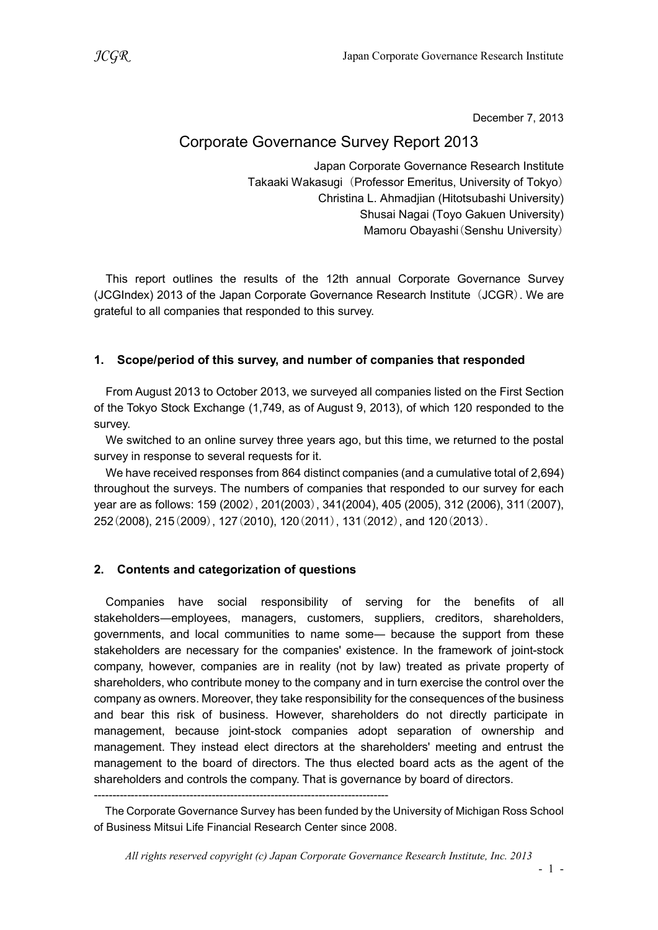December 7, 2013

# Corporate Governance Survey Report 2013

Japan Corporate Governance Research Institute Takaaki Wakasugi (Professor Emeritus, University of Tokyo) Christina L. Ahmadjian (Hitotsubashi University) Shusai Nagai (Toyo Gakuen University) Mamoru Obayashi(Senshu University)

This report outlines the results of the 12th annual Corporate Governance Survey (JCGIndex) 2013 of the Japan Corporate Governance Research Institute (JCGR). We are grateful to all companies that responded to this survey.

### 1. Scope/period of this survey, and number of companies that responded

From August 2013 to October 2013, we surveyed all companies listed on the First Section of the Tokyo Stock Exchange (1,749, as of August 9, 2013), of which 120 responded to the survey.

We switched to an online survey three years ago, but this time, we returned to the postal survey in response to several requests for it.

We have received responses from 864 distinct companies (and a cumulative total of 2,694) throughout the surveys. The numbers of companies that responded to our survey for each year are as follows: 159 (2002), 201(2003), 341(2004), 405 (2005), 312 (2006), 311(2007), 252(2008), 215(2009), 127(2010), 120(2011), 131(2012), and 120(2013).

### 2. Contents and categorization of questions

Companies have social responsibility of serving for the benefits of all stakeholders―employees, managers, customers, suppliers, creditors, shareholders, governments, and local communities to name some― because the support from these stakeholders are necessary for the companies' existence. In the framework of joint-stock company, however, companies are in reality (not by law) treated as private property of shareholders, who contribute money to the company and in turn exercise the control over the company as owners. Moreover, they take responsibility for the consequences of the business and bear this risk of business. However, shareholders do not directly participate in management, because joint-stock companies adopt separation of ownership and management. They instead elect directors at the shareholders' meeting and entrust the management to the board of directors. The thus elected board acts as the agent of the shareholders and controls the company. That is governance by board of directors.

<sup>--------------------------------------------------------------------------------</sup> 

The Corporate Governance Survey has been funded by the University of Michigan Ross School of Business Mitsui Life Financial Research Center since 2008.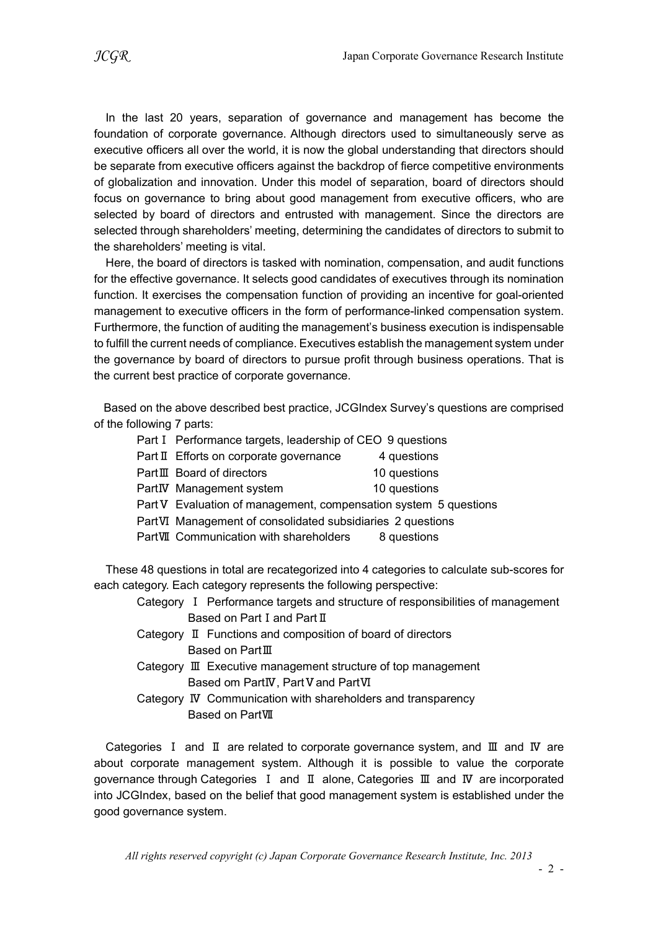In the last 20 years, separation of governance and management has become the foundation of corporate governance. Although directors used to simultaneously serve as executive officers all over the world, it is now the global understanding that directors should be separate from executive officers against the backdrop of fierce competitive environments of globalization and innovation. Under this model of separation, board of directors should focus on governance to bring about good management from executive officers, who are selected by board of directors and entrusted with management. Since the directors are selected through shareholders' meeting, determining the candidates of directors to submit to the shareholders' meeting is vital.

Here, the board of directors is tasked with nomination, compensation, and audit functions for the effective governance. It selects good candidates of executives through its nomination function. It exercises the compensation function of providing an incentive for goal-oriented management to executive officers in the form of performance-linked compensation system. Furthermore, the function of auditing the management's business execution is indispensable to fulfill the current needs of compliance. Executives establish the management system under the governance by board of directors to pursue profit through business operations. That is the current best practice of corporate governance.

Based on the above described best practice, JCGIndex Survey's questions are comprised of the following 7 parts:

- Part I Performance targets, leadership of CEO 9 questions
- Part Ⅱ Efforts on corporate governance 4 questions
- PartⅢ Board of directors 10 questions
- PartIV Management system 10 questions
- Part V Evaluation of management, compensation system 5 questions
- PartⅥ Management of consolidated subsidiaries 2 questions
- PartVII Communication with shareholders 8 questions

These 48 questions in total are recategorized into 4 categories to calculate sub-scores for each category. Each category represents the following perspective:

- Category Ⅰ Performance targets and structure of responsibilities of management Based on Part I and Part II
- Category Ⅱ Functions and composition of board of directors Based on PartⅢ
- Category Ⅲ Executive management structure of top management Based om PartIV, Part V and PartVI

Category Ⅳ Communication with shareholders and transparency Based on PartⅦ

Categories Ⅰ and Ⅱ are related to corporate governance system, and Ⅲ and Ⅳ are about corporate management system. Although it is possible to value the corporate governance through Categories Ⅰ and Ⅱ alone, Categories Ⅲ and Ⅳ are incorporated into JCGIndex, based on the belief that good management system is established under the good governance system.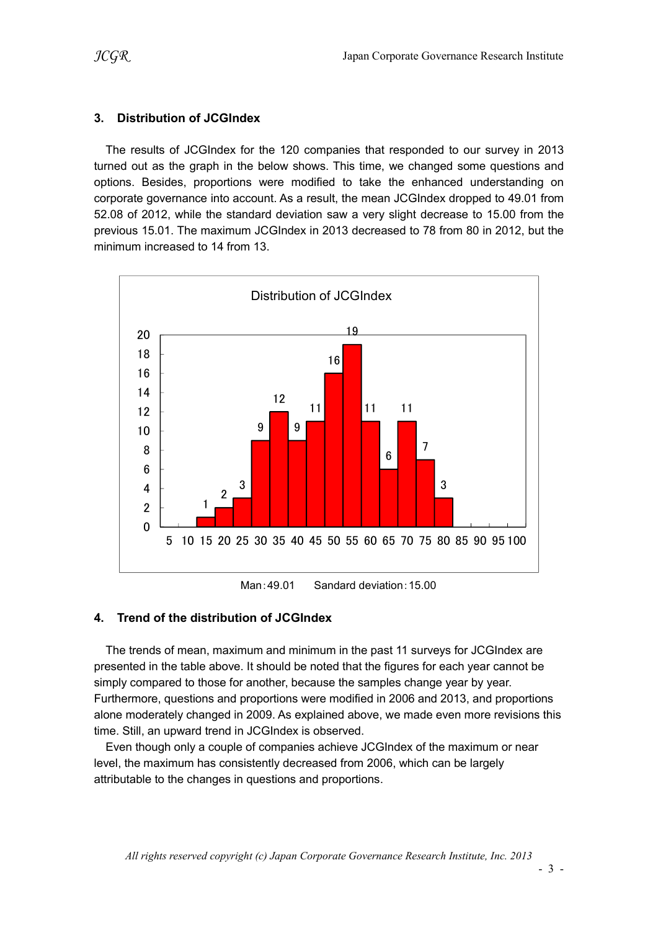### 3. Distribution of JCGIndex

The results of JCGIndex for the 120 companies that responded to our survey in 2013 turned out as the graph in the below shows. This time, we changed some questions and options. Besides, proportions were modified to take the enhanced understanding on corporate governance into account. As a result, the mean JCGIndex dropped to 49.01 from 52.08 of 2012, while the standard deviation saw a very slight decrease to 15.00 from the previous 15.01. The maximum JCGIndex in 2013 decreased to 78 from 80 in 2012, but the minimum increased to 14 from 13.



Man:49.01 Sandard deviation:15.00

### 4. Trend of the distribution of JCGIndex

The trends of mean, maximum and minimum in the past 11 surveys for JCGIndex are presented in the table above. It should be noted that the figures for each year cannot be simply compared to those for another, because the samples change year by year. Furthermore, questions and proportions were modified in 2006 and 2013, and proportions alone moderately changed in 2009. As explained above, we made even more revisions this time. Still, an upward trend in JCGIndex is observed.

Even though only a couple of companies achieve JCGIndex of the maximum or near level, the maximum has consistently decreased from 2006, which can be largely attributable to the changes in questions and proportions.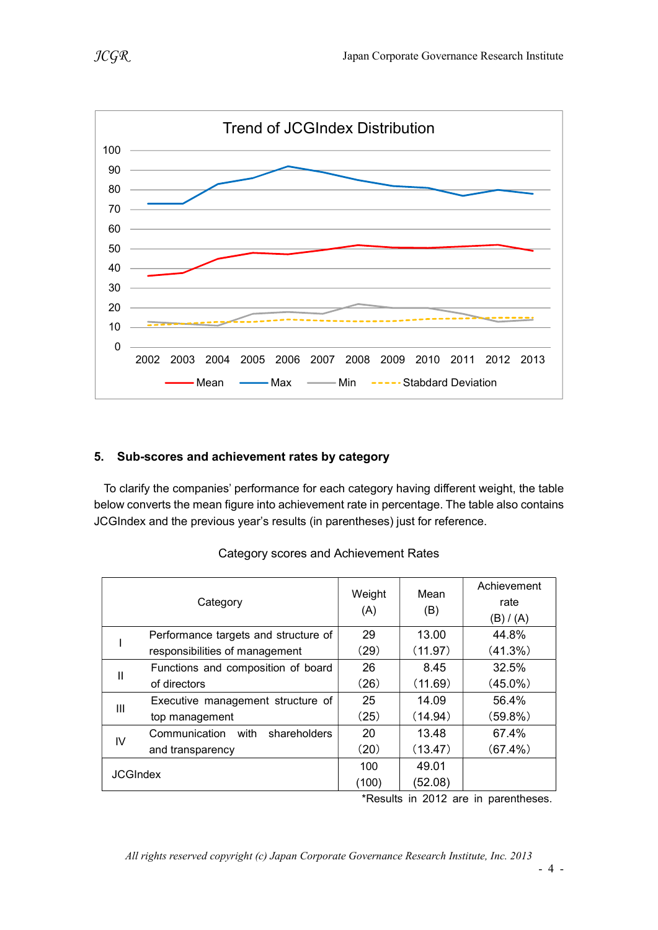



### 5. Sub-scores and achievement rates by category

To clarify the companies' performance for each category having different weight, the table below converts the mean figure into achievement rate in percentage. The table also contains JCGIndex and the previous year's results (in parentheses) just for reference.

|                 | Category                              | Weight<br>(A) | Mean<br>(B) | Achievement<br>rate<br>(B) / (A) |
|-----------------|---------------------------------------|---------------|-------------|----------------------------------|
|                 | Performance targets and structure of  | 29            | 13.00       | 44.8%                            |
|                 | responsibilities of management        | (29)          | (11.97)     | (41.3%)                          |
| Ш               | Functions and composition of board    | 26            | 8.45        | 32.5%                            |
|                 | of directors                          | (26)          | (11.69)     | $(45.0\%)$                       |
| Ш               | Executive management structure of     | 25            | 14.09       | 56.4%                            |
|                 | top management                        | (25)          | (14.94)     | (59.8%)                          |
| IV              | Communication<br>with<br>shareholders | 20            | 13.48       | 67.4%                            |
|                 | and transparency                      | (20)          | (13.47)     | $(67.4\%)$                       |
| <b>JCGIndex</b> |                                       | 100           | 49.01       |                                  |
|                 |                                       | (100)         | (52.08)     |                                  |

#### Category scores and Achievement Rates

\*Results in 2012 are in parentheses.

All rights reserved copyright (c) Japan Corporate Governance Research Institute, Inc. 2013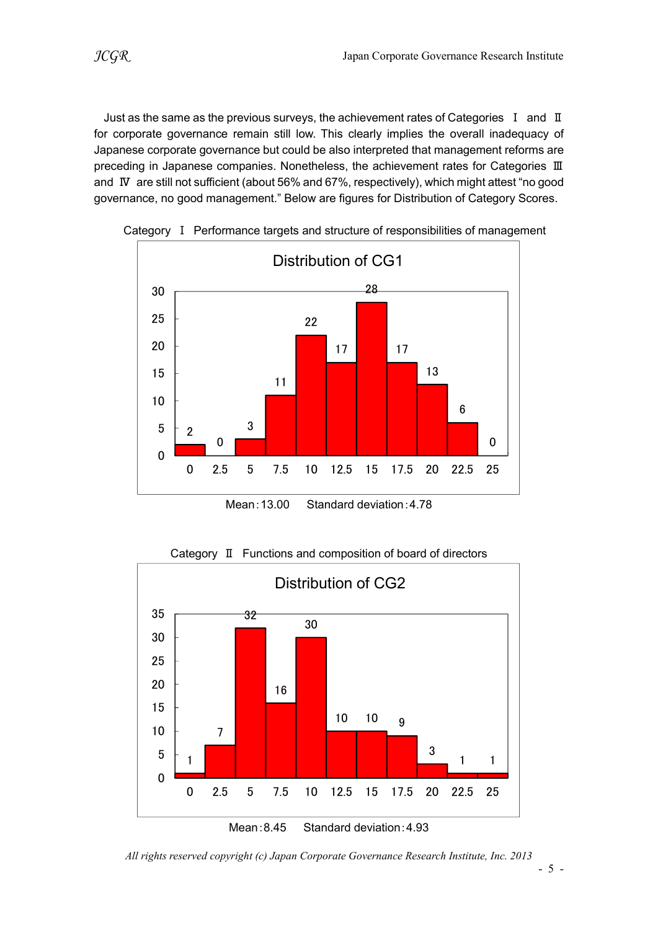Just as the same as the previous surveys, the achievement rates of Categories I and II for corporate governance remain still low. This clearly implies the overall inadequacy of Japanese corporate governance but could be also interpreted that management reforms are preceding in Japanese companies. Nonetheless, the achievement rates for Categories Ⅲ and Ⅳ are still not sufficient (about 56% and 67%, respectively), which might attest "no good governance, no good management." Below are figures for Distribution of Category Scores.



Category Ⅰ Performance targets and structure of responsibilities of management

Mean:13.00 Standard deviation:4.78



Category Ⅱ Functions and composition of board of directors

Mean:8.45 Standard deviation:4.93

All rights reserved copyright (c) Japan Corporate Governance Research Institute, Inc. 2013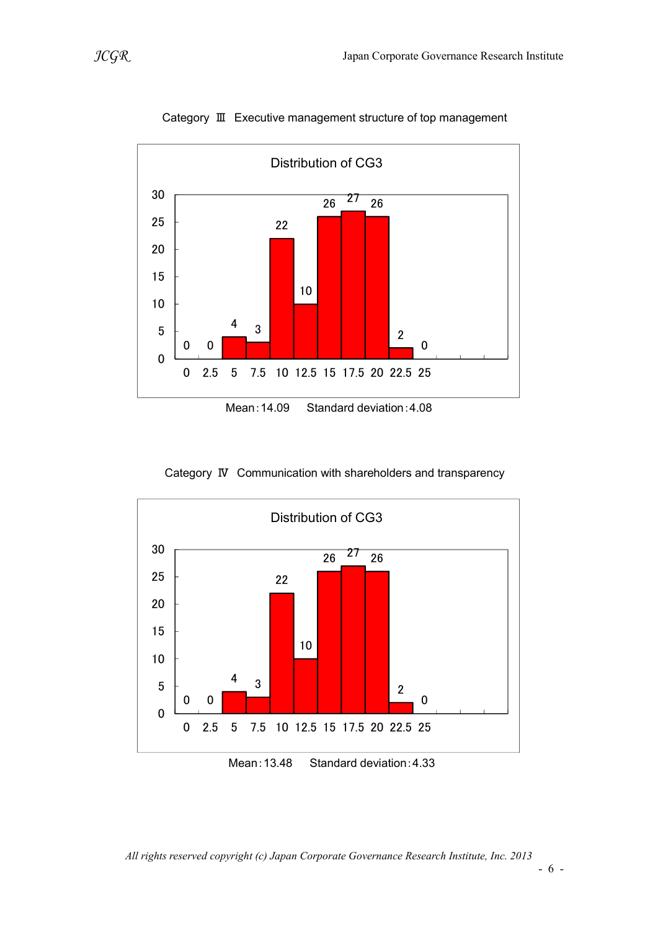



Category Ⅳ Communication with shareholders and transparency



Mean:13.48 Standard deviation:4.33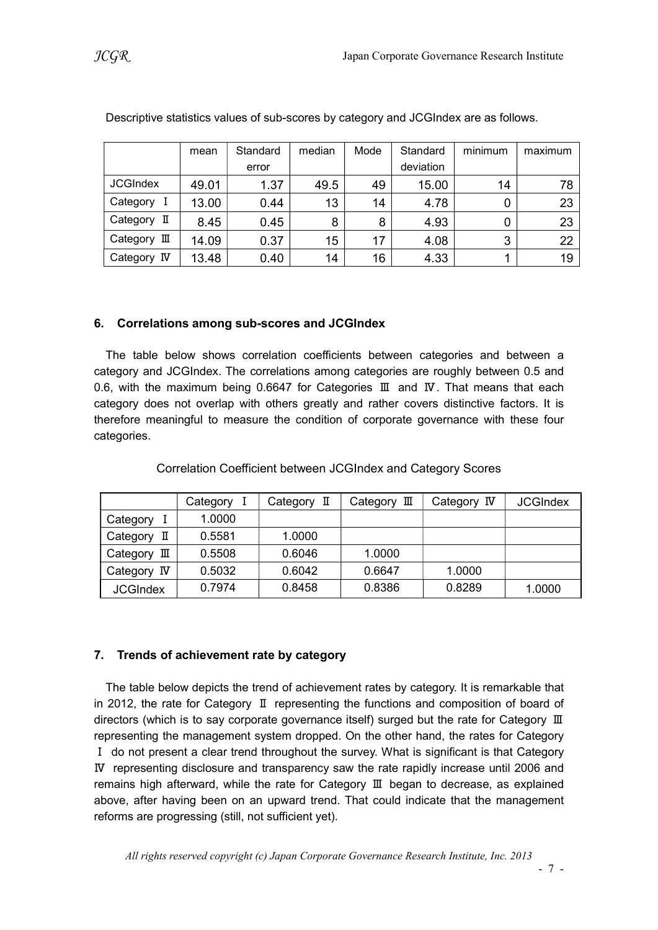|                       | mean  | Standard | median | Mode | Standard  | minimum | maximum |
|-----------------------|-------|----------|--------|------|-----------|---------|---------|
|                       |       | error    |        |      | deviation |         |         |
| <b>JCGIndex</b>       | 49.01 | 1.37     | 49.5   | 49   | 15.00     | 14      | 78      |
| Category I            | 13.00 | 0.44     | 13     | 14   | 4.78      |         | 23      |
| Category II           | 8.45  | 0.45     | 8      | 8    | 4.93      |         | 23      |
| Category $\mathbb I$  | 14.09 | 0.37     | 15     | 17   | 4.08      | 3       | 22      |
| Category<br><b>IV</b> | 13.48 | 0.40     | 14     | 16   | 4.33      |         | 19      |

Descriptive statistics values of sub-scores by category and JCGIndex are as follows.

### 6. Correlations among sub-scores and JCGIndex

The table below shows correlation coefficients between categories and between a category and JCGIndex. The correlations among categories are roughly between 0.5 and 0.6, with the maximum being 0.6647 for Categories Ⅲ and Ⅳ. That means that each category does not overlap with others greatly and rather covers distinctive factors. It is therefore meaningful to measure the condition of corporate governance with these four categories.

|                 | Category | Category II | Category $\mathbb I$ | Category IV | <b>JCGIndex</b> |
|-----------------|----------|-------------|----------------------|-------------|-----------------|
| Category        | 1.0000   |             |                      |             |                 |
| Category<br>П   | 0.5581   | 1.0000      |                      |             |                 |
| Ш<br>Category   | 0.5508   | 0.6046      | 1.0000               |             |                 |
| Category IV     | 0.5032   | 0.6042      | 0.6647               | 1.0000      |                 |
| <b>JCGIndex</b> | 0.7974   | 0.8458      | 0.8386               | 0.8289      | 1.0000          |

Correlation Coefficient between JCGIndex and Category Scores

## 7. Trends of achievement rate by category

The table below depicts the trend of achievement rates by category. It is remarkable that in 2012, the rate for Category Ⅱ representing the functions and composition of board of directors (which is to say corporate governance itself) surged but the rate for Category Ⅲ representing the management system dropped. On the other hand, the rates for Category Ⅰ do not present a clear trend throughout the survey. What is significant is that Category Ⅳ representing disclosure and transparency saw the rate rapidly increase until 2006 and remains high afterward, while the rate for Category Ⅲ began to decrease, as explained above, after having been on an upward trend. That could indicate that the management reforms are progressing (still, not sufficient yet).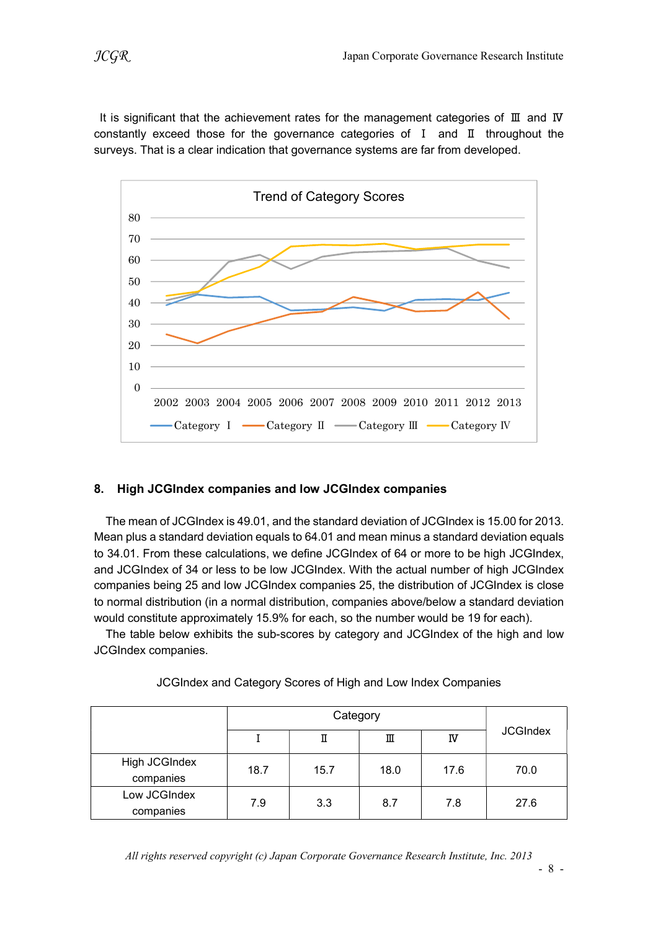It is significant that the achievement rates for the management categories of Ⅲ and Ⅳ constantly exceed those for the governance categories of Ⅰ and Ⅱ throughout the surveys. That is a clear indication that governance systems are far from developed.



### 8. High JCGIndex companies and low JCGIndex companies

The mean of JCGIndex is 49.01, and the standard deviation of JCGIndex is 15.00 for 2013. Mean plus a standard deviation equals to 64.01 and mean minus a standard deviation equals to 34.01. From these calculations, we define JCGIndex of 64 or more to be high JCGIndex, and JCGIndex of 34 or less to be low JCGIndex. With the actual number of high JCGIndex companies being 25 and low JCGIndex companies 25, the distribution of JCGIndex is close to normal distribution (in a normal distribution, companies above/below a standard deviation would constitute approximately 15.9% for each, so the number would be 19 for each).

The table below exhibits the sub-scores by category and JCGIndex of the high and low JCGIndex companies.

|                            |      | П    | Ш    | IV   | <b>JCGIndex</b> |  |
|----------------------------|------|------|------|------|-----------------|--|
| High JCGIndex<br>companies | 18.7 | 15.7 | 18.0 | 17.6 | 70.0            |  |
| Low JCGIndex<br>companies  | 7.9  | 3.3  | 8.7  | 7.8  | 27.6            |  |

### JCGIndex and Category Scores of High and Low Index Companies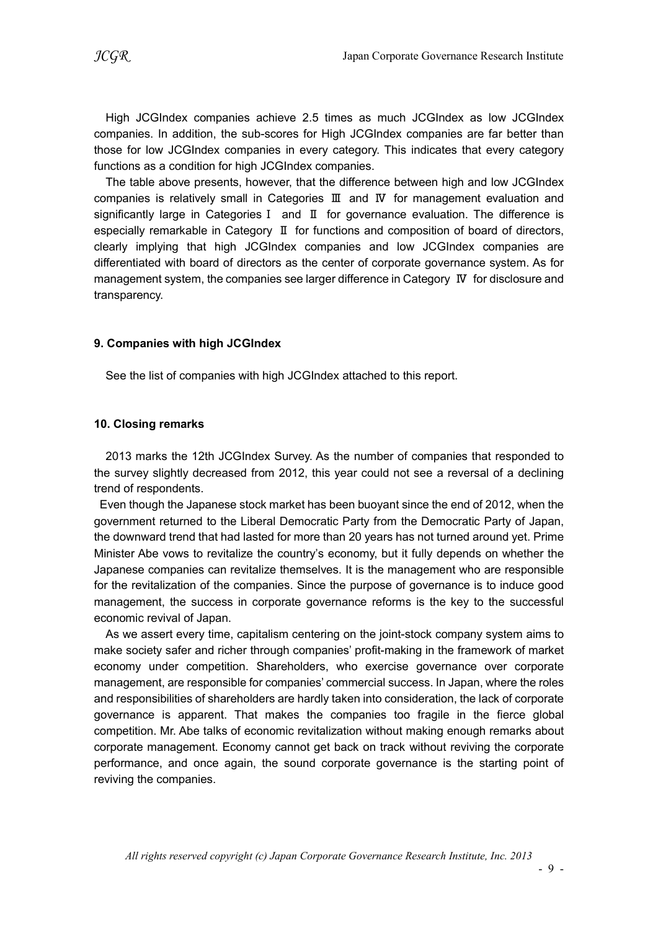High JCGIndex companies achieve 2.5 times as much JCGIndex as low JCGIndex companies. In addition, the sub-scores for High JCGIndex companies are far better than those for low JCGIndex companies in every category. This indicates that every category functions as a condition for high JCGIndex companies.

The table above presents, however, that the difference between high and low JCGIndex companies is relatively small in Categories Ⅲ and Ⅳ for management evaluation and significantly large in CategoriesⅠ and Ⅱ for governance evaluation. The difference is especially remarkable in Category Ⅱ for functions and composition of board of directors, clearly implying that high JCGIndex companies and low JCGIndex companies are differentiated with board of directors as the center of corporate governance system. As for management system, the companies see larger difference in Category Ⅳ for disclosure and transparency.

#### 9. Companies with high JCGIndex

See the list of companies with high JCGIndex attached to this report.

#### 10. Closing remarks

2013 marks the 12th JCGIndex Survey. As the number of companies that responded to the survey slightly decreased from 2012, this year could not see a reversal of a declining trend of respondents.

Even though the Japanese stock market has been buoyant since the end of 2012, when the government returned to the Liberal Democratic Party from the Democratic Party of Japan, the downward trend that had lasted for more than 20 years has not turned around yet. Prime Minister Abe vows to revitalize the country's economy, but it fully depends on whether the Japanese companies can revitalize themselves. It is the management who are responsible for the revitalization of the companies. Since the purpose of governance is to induce good management, the success in corporate governance reforms is the key to the successful economic revival of Japan.

As we assert every time, capitalism centering on the joint-stock company system aims to make society safer and richer through companies' profit-making in the framework of market economy under competition. Shareholders, who exercise governance over corporate management, are responsible for companies' commercial success. In Japan, where the roles and responsibilities of shareholders are hardly taken into consideration, the lack of corporate governance is apparent. That makes the companies too fragile in the fierce global competition. Mr. Abe talks of economic revitalization without making enough remarks about corporate management. Economy cannot get back on track without reviving the corporate performance, and once again, the sound corporate governance is the starting point of reviving the companies.